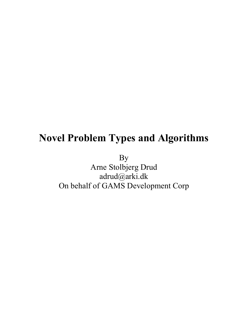### **Novel Problem Types and Algorithms**

By

Arne Stolbjerg Drud adrud@arki.dk On behalf of GAMS Development Corp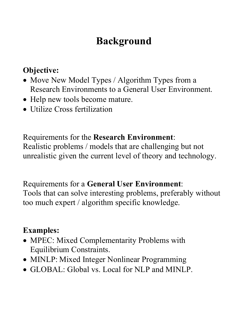# **Background**

### **Objective:**

- Move New Model Types / Algorithm Types from a Research Environments to a General User Environment.
- Help new tools become mature.
- Utilize Cross fertilization

### Requirements for the **Research Environment**:

Realistic problems / models that are challenging but not unrealistic given the current level of theory and technology.

Requirements for a **General User Environment**:

Tools that can solve interesting problems, preferably without too much expert / algorithm specific knowledge.

### **Examples:**

- MPEC: Mixed Complementarity Problems with Equilibrium Constraints.
- MINLP: Mixed Integer Nonlinear Programming
- GLOBAL: Global vs. Local for NLP and MINLP.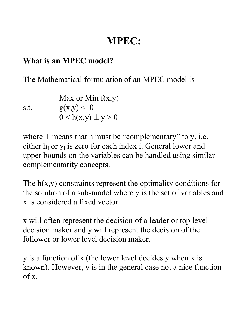#### **What is an MPEC model?**

The Mathematical formulation of an MPEC model is

Max or Min  $f(x,y)$ s.t.  $g(x,y) \leq 0$  $0 \leq h(x,y) \perp y \geq 0$ 

where  $\perp$  means that h must be "complementary" to y, i.e. either  $h_i$  or  $y_i$  is zero for each index i. General lower and upper bounds on the variables can be handled using similar complementarity concepts.

The  $h(x,y)$  constraints represent the optimality conditions for the solution of a sub-model where y is the set of variables and x is considered a fixed vector.

x will often represent the decision of a leader or top level decision maker and y will represent the decision of the follower or lower level decision maker.

y is a function of x (the lower level decides y when x is known). However, y is in the general case not a nice function  $of x$ .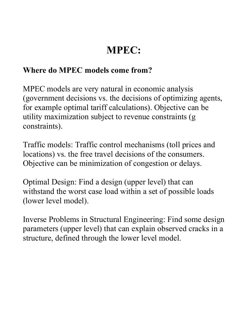#### **Where do MPEC models come from?**

MPEC models are very natural in economic analysis (government decisions vs. the decisions of optimizing agents, for example optimal tariff calculations). Objective can be utility maximization subject to revenue constraints (g constraints).

Traffic models: Traffic control mechanisms (toll prices and locations) vs. the free travel decisions of the consumers. Objective can be minimization of congestion or delays.

Optimal Design: Find a design (upper level) that can withstand the worst case load within a set of possible loads (lower level model).

Inverse Problems in Structural Engineering: Find some design parameters (upper level) that can explain observed cracks in a structure, defined through the lower level model.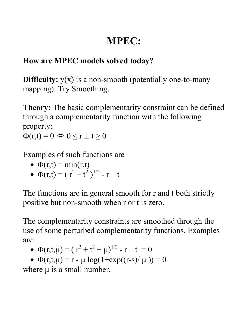### **How are MPEC models solved today?**

**Difficulty:**  $y(x)$  is a non-smooth (potentially one-to-many mapping). Try Smoothing.

**Theory:** The basic complementarity constraint can be defined through a complementarity function with the following property:  $\Phi(r,t) = 0 \Leftrightarrow 0 < r \perp t > 0$ 

Examples of such functions are

- $\Phi(r,t) = \min(r,t)$
- $\Phi(r,t) = (r^2 + t^2)^{1/2} r t$

The functions are in general smooth for r and t both strictly positive but non-smooth when r or t is zero.

The complementarity constraints are smoothed through the use of some perturbed complementarity functions. Examples are:

- $\Phi(r,t,\mu) = (r^2 + t^2 + \mu)^{1/2} r t = 0$
- $\Phi(r,t,\mu) = r \mu \log(1 + \exp((r-s)/\mu)) = 0$

where  $\mu$  is a small number.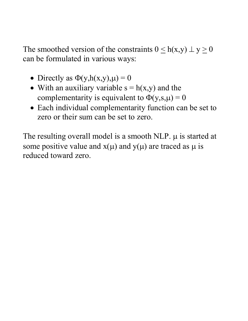The smoothed version of the constraints  $0 \leq h(x,y) \perp y \geq 0$ can be formulated in various ways:

- Directly as  $\Phi(y, h(x,y), \mu) = 0$
- With an auxiliary variable  $s = h(x,y)$  and the complementarity is equivalent to  $\Phi(y,s,\mu) = 0$
- Each individual complementarity function can be set to zero or their sum can be set to zero.

The resulting overall model is a smooth NLP.  $\mu$  is started at some positive value and  $x(\mu)$  and  $y(\mu)$  are traced as  $\mu$  is reduced toward zero.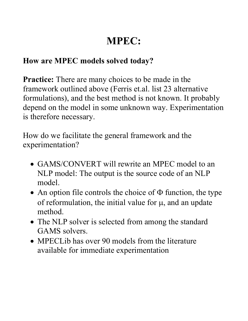### **How are MPEC models solved today?**

**Practice:** There are many choices to be made in the framework outlined above (Ferris et.al. list 23 alternative formulations), and the best method is not known. It probably depend on the model in some unknown way. Experimentation is therefore necessary.

How do we facilitate the general framework and the experimentation?

- GAMS/CONVERT will rewrite an MPEC model to an NLP model: The output is the source code of an NLP model.
- An option file controls the choice of  $\Phi$  function, the type of reformulation, the initial value for  $\mu$ , and an update method.
- The NLP solver is selected from among the standard GAMS solvers.
- MPECLib has over 90 models from the literature available for immediate experimentation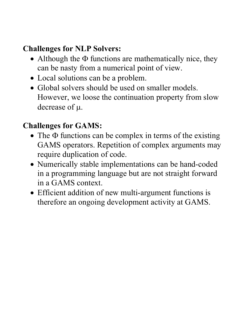### **Challenges for NLP Solvers:**

- Although the  $\Phi$  functions are mathematically nice, they can be nasty from a numerical point of view.
- Local solutions can be a problem.
- Global solvers should be used on smaller models. However, we loose the continuation property from slow decrease of µ.

### **Challenges for GAMS:**

- The Φ functions can be complex in terms of the existing GAMS operators. Repetition of complex arguments may require duplication of code.
- Numerically stable implementations can be hand-coded in a programming language but are not straight forward in a GAMS context.
- Efficient addition of new multi-argument functions is therefore an ongoing development activity at GAMS.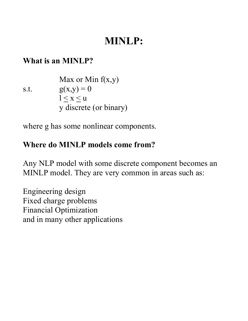#### **What is an MINLP?**

| Max or Min f(x,y)      |              |
|------------------------|--------------|
| s.t.                   | $g(x,y) = 0$ |
| $1 \le x \le u$        |              |
| y discrete (or binary) |              |

where g has some nonlinear components.

### **Where do MINLP models come from?**

Any NLP model with some discrete component becomes an MINLP model. They are very common in areas such as:

Engineering design Fixed charge problems Financial Optimization and in many other applications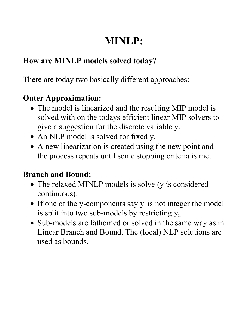### **How are MINLP models solved today?**

There are today two basically different approaches:

### **Outer Approximation:**

- The model is linearized and the resulting MIP model is solved with on the todays efficient linear MIP solvers to give a suggestion for the discrete variable y.
- An NLP model is solved for fixed y.
- A new linearization is created using the new point and the process repeats until some stopping criteria is met.

### **Branch and Bound:**

- The relaxed MINLP models is solve (y is considered continuous).
- If one of the y-components say  $y_i$  is not integer the model is split into two sub-models by restricting  $y_i$ .
- Sub-models are fathomed or solved in the same way as in Linear Branch and Bound. The (local) NLP solutions are used as bounds.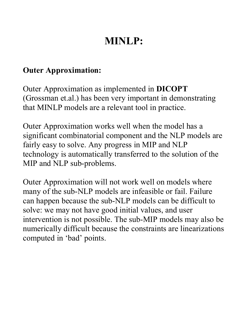#### **Outer Approximation:**

Outer Approximation as implemented in **DICOPT** (Grossman et.al.) has been very important in demonstrating that MINLP models are a relevant tool in practice.

Outer Approximation works well when the model has a significant combinatorial component and the NLP models are fairly easy to solve. Any progress in MIP and NLP technology is automatically transferred to the solution of the MIP and NLP sub-problems.

Outer Approximation will not work well on models where many of the sub-NLP models are infeasible or fail. Failure can happen because the sub-NLP models can be difficult to solve: we may not have good initial values, and user intervention is not possible. The sub-MIP models may also be numerically difficult because the constraints are linearizations computed in 'bad' points.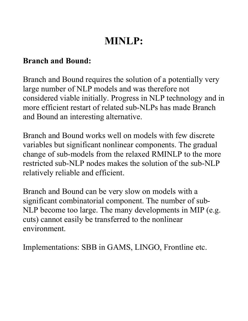#### **Branch and Bound:**

Branch and Bound requires the solution of a potentially very large number of NLP models and was therefore not considered viable initially. Progress in NLP technology and in more efficient restart of related sub-NLPs has made Branch and Bound an interesting alternative.

Branch and Bound works well on models with few discrete variables but significant nonlinear components. The gradual change of sub-models from the relaxed RMINLP to the more restricted sub-NLP nodes makes the solution of the sub-NLP relatively reliable and efficient.

Branch and Bound can be very slow on models with a significant combinatorial component. The number of sub-NLP become too large. The many developments in MIP (e.g. cuts) cannot easily be transferred to the nonlinear environment.

Implementations: SBB in GAMS, LINGO, Frontline etc.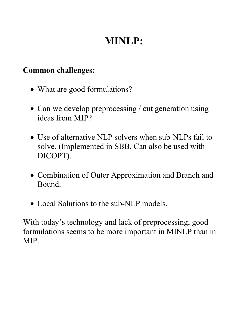#### **Common challenges:**

- What are good formulations?
- Can we develop preprocessing / cut generation using ideas from MIP?
- Use of alternative NLP solvers when sub-NLPs fail to solve. (Implemented in SBB. Can also be used with DICOPT).
- Combination of Outer Approximation and Branch and Bound.
- Local Solutions to the sub-NLP models.

With today's technology and lack of preprocessing, good formulations seems to be more important in MINLP than in MIP.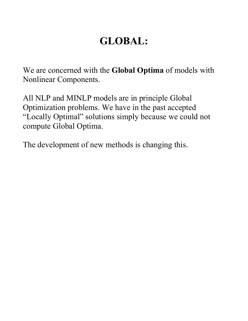## **GLOBAL:**

We are concerned with the **Global Optima** of models with Nonlinear Components.

All NLP and MINLP models are in principle Global Optimization problems. We have in the past accepted "Locally Optimal" solutions simply because we could not compute Global Optima.

The development of new methods is changing this.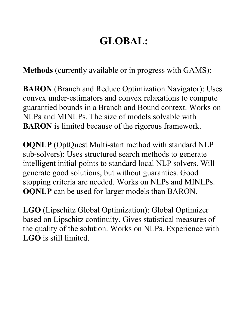## **GLOBAL:**

**Methods** (currently available or in progress with GAMS):

**BARON** (Branch and Reduce Optimization Navigator): Uses convex under-estimators and convex relaxations to compute guarantied bounds in a Branch and Bound context. Works on NLPs and MINLPs. The size of models solvable with **BARON** is limited because of the rigorous framework.

**OQNLP** (OptQuest Multi-start method with standard NLP sub-solvers): Uses structured search methods to generate intelligent initial points to standard local NLP solvers. Will generate good solutions, but without guaranties. Good stopping criteria are needed. Works on NLPs and MINLPs. **OQNLP** can be used for larger models than BARON.

**LGO** (Lipschitz Global Optimization): Global Optimizer based on Lipschitz continuity. Gives statistical measures of the quality of the solution. Works on NLPs. Experience with **LGO** is still limited.